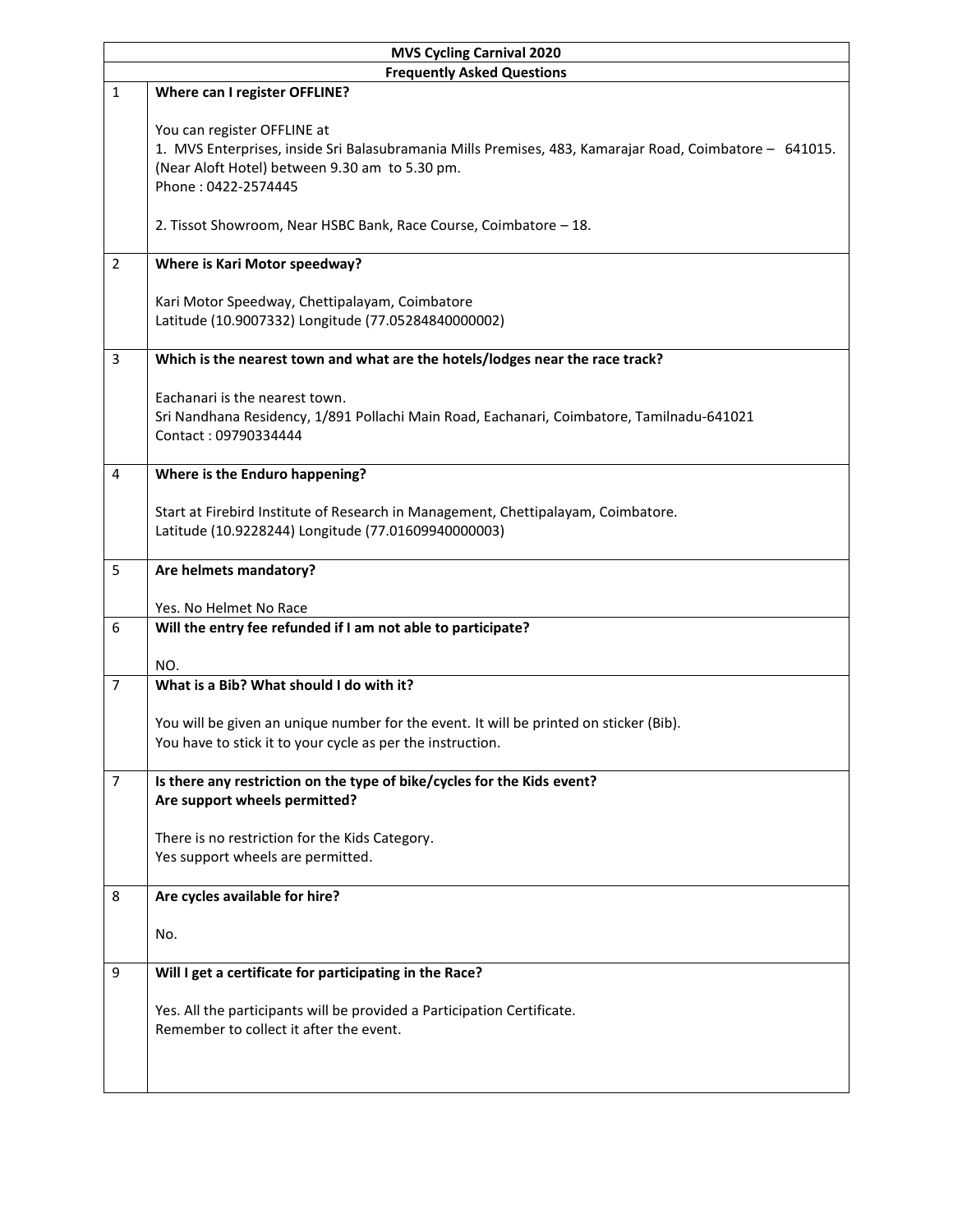| <b>MVS Cycling Carnival 2020</b>  |                                                                                                                                                                                                                 |  |
|-----------------------------------|-----------------------------------------------------------------------------------------------------------------------------------------------------------------------------------------------------------------|--|
| <b>Frequently Asked Questions</b> |                                                                                                                                                                                                                 |  |
| $\mathbf{1}$                      | Where can I register OFFLINE?                                                                                                                                                                                   |  |
|                                   | You can register OFFLINE at<br>1. MVS Enterprises, inside Sri Balasubramania Mills Premises, 483, Kamarajar Road, Coimbatore - 641015.<br>(Near Aloft Hotel) between 9.30 am to 5.30 pm.<br>Phone: 0422-2574445 |  |
|                                   | 2. Tissot Showroom, Near HSBC Bank, Race Course, Coimbatore - 18.                                                                                                                                               |  |
| $\overline{2}$                    | Where is Kari Motor speedway?                                                                                                                                                                                   |  |
|                                   | Kari Motor Speedway, Chettipalayam, Coimbatore<br>Latitude (10.9007332) Longitude (77.05284840000002)                                                                                                           |  |
| 3                                 | Which is the nearest town and what are the hotels/lodges near the race track?                                                                                                                                   |  |
|                                   | Eachanari is the nearest town.<br>Sri Nandhana Residency, 1/891 Pollachi Main Road, Eachanari, Coimbatore, Tamilnadu-641021<br>Contact: 09790334444                                                             |  |
| $\overline{4}$                    | Where is the Enduro happening?                                                                                                                                                                                  |  |
|                                   | Start at Firebird Institute of Research in Management, Chettipalayam, Coimbatore.<br>Latitude (10.9228244) Longitude (77.01609940000003)                                                                        |  |
| 5                                 | Are helmets mandatory?                                                                                                                                                                                          |  |
|                                   | Yes. No Helmet No Race                                                                                                                                                                                          |  |
| 6                                 | Will the entry fee refunded if I am not able to participate?                                                                                                                                                    |  |
| $\overline{7}$                    | NO.<br>What is a Bib? What should I do with it?                                                                                                                                                                 |  |
|                                   |                                                                                                                                                                                                                 |  |
|                                   | You will be given an unique number for the event. It will be printed on sticker (Bib).                                                                                                                          |  |
|                                   | You have to stick it to your cycle as per the instruction.                                                                                                                                                      |  |
| $\overline{7}$                    | Is there any restriction on the type of bike/cycles for the Kids event?                                                                                                                                         |  |
|                                   | Are support wheels permitted?                                                                                                                                                                                   |  |
|                                   |                                                                                                                                                                                                                 |  |
|                                   | There is no restriction for the Kids Category.<br>Yes support wheels are permitted.                                                                                                                             |  |
|                                   |                                                                                                                                                                                                                 |  |
| 8                                 | Are cycles available for hire?                                                                                                                                                                                  |  |
|                                   | No.                                                                                                                                                                                                             |  |
| 9                                 | Will I get a certificate for participating in the Race?                                                                                                                                                         |  |
|                                   | Yes. All the participants will be provided a Participation Certificate.<br>Remember to collect it after the event.                                                                                              |  |
|                                   |                                                                                                                                                                                                                 |  |